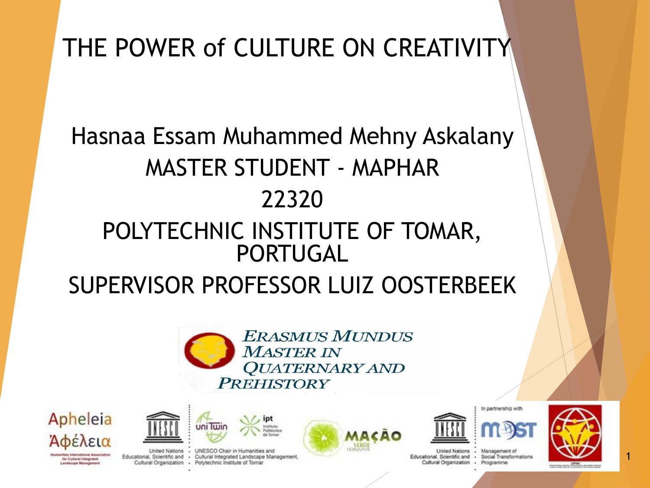# THE POWER of CULTURE ON CREATIVITY

# Hasnaa Essam Muhammed Mehny Askalany MASTER STUDENT - MAPHAR 22320 POLYTECHNIC INSTITUTE OF TOMAR, PORTUGAL SUPERVISOR PROFESSOR LUIZ OOSTERBEEK





r Cultural Integrated **Noape Managers** 



United Nations

- UNESCO Chair in Humanities and Educational, Scientific and . Cultural Integrated Landscape Management, Cultural Organization - Polytechnic Institute of Tomar







**Inited Nations** Educational, Scientific and · Social Transformations Cultural Organization - Programme

Management of

1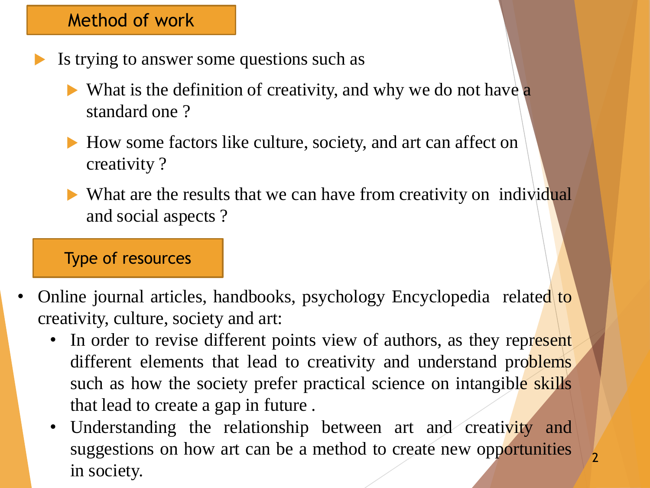### Method of work

- Is trying to answer some questions such as
	- $\triangleright$  What is the definition of creativity, and why we do not have a standard one ?
	- How some factors like culture, society, and art can affect on creativity ?
	- $\triangleright$  What are the results that we can have from creativity on individual and social aspects ?

#### Type of resources

- Online journal articles, handbooks, psychology Encyclopedia related to creativity, culture, society and art:
	- In order to revise different points view of authors, as they represent different elements that lead to creativity and understand problems such as how the society prefer practical science on intangible skills that lead to create a gap in future .
	- Understanding the relationship between art and creativity and suggestions on how art can be a method to create new opportunities in society.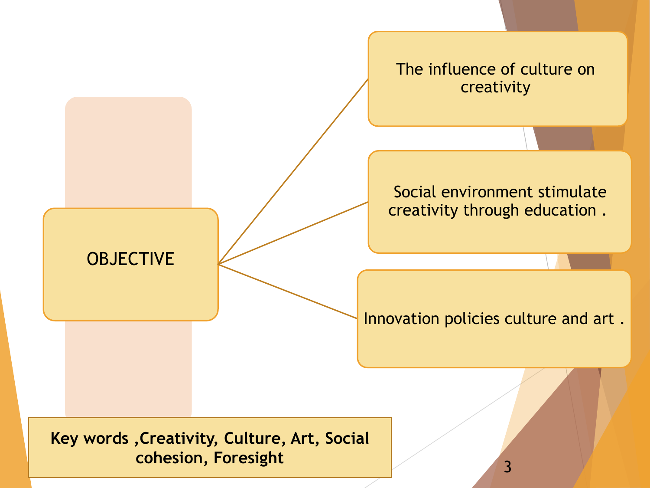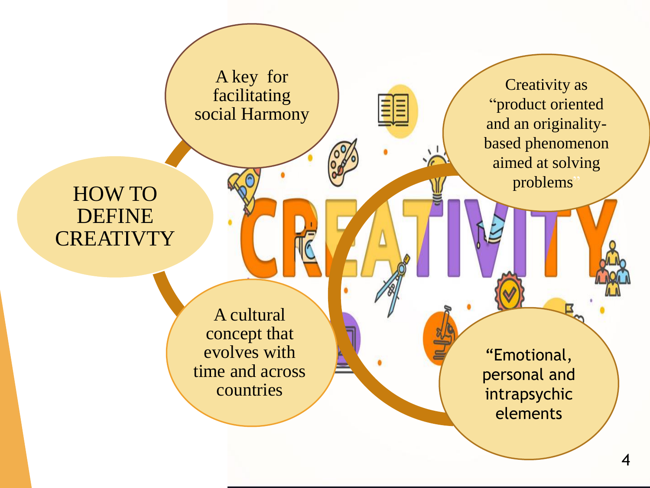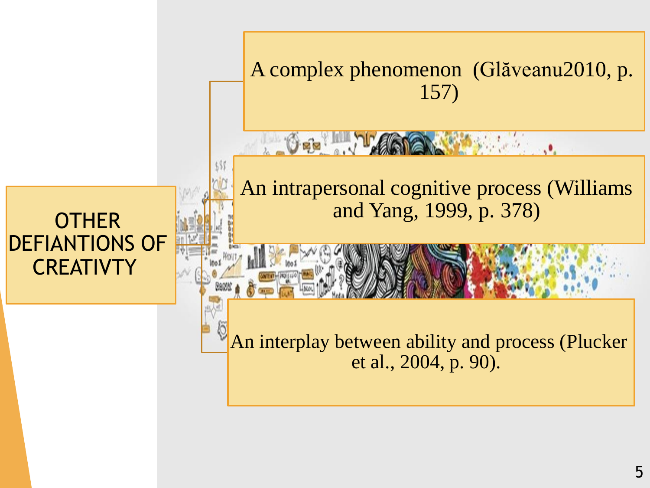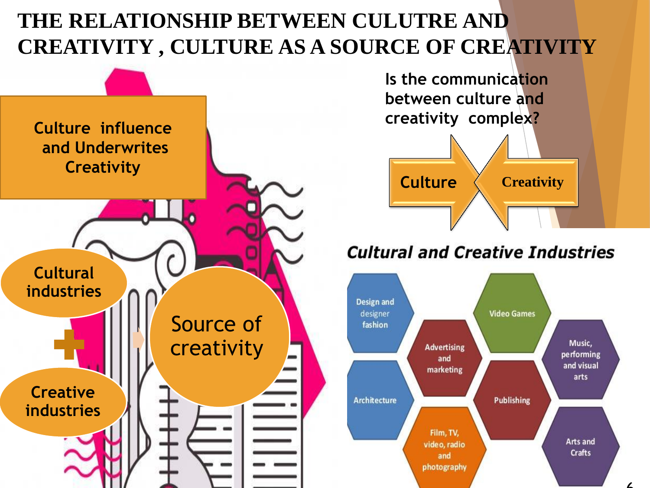# **THE RELATIONSHIP BETWEEN CULUTRE AND CREATIVITY , CULTURE AS A SOURCE OF CREATIVITY**



 $\mathcal{L}_{\mathcal{L}}$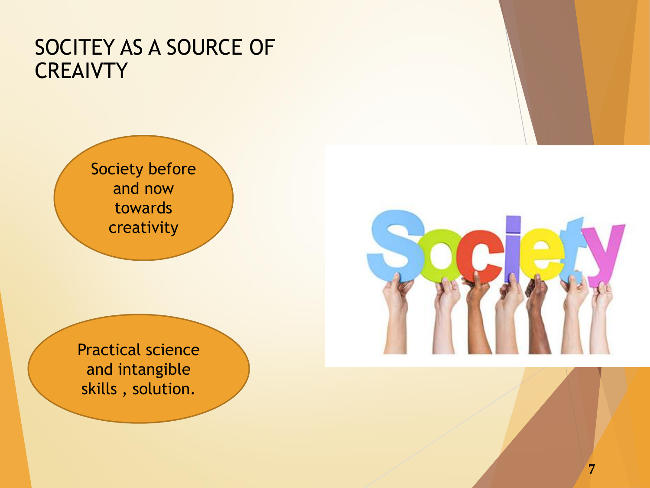## SOCITEY AS A SOURCE OF **CREAIVTY**

Society before and now towards creativity

Practical science and intangible skills , solution.



**7**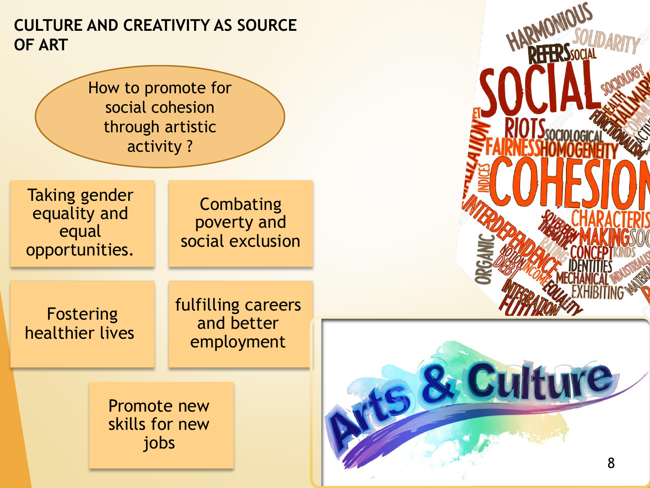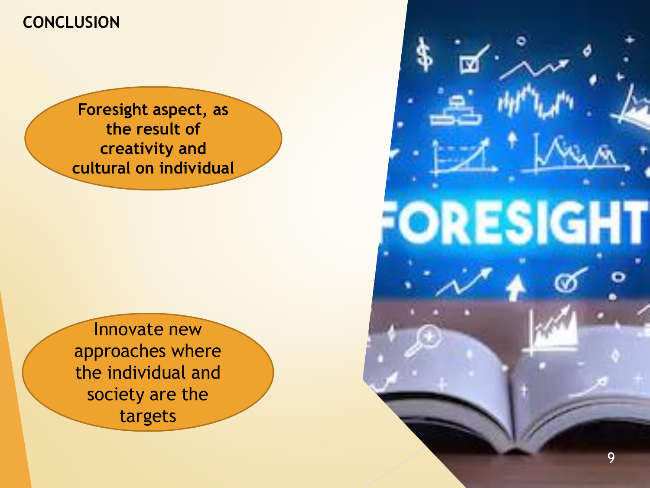**CONCLUSION** 

**Foresight aspect, as the result of creativity and cultural on individual**

Innovate new approaches where the individual and society are the targets